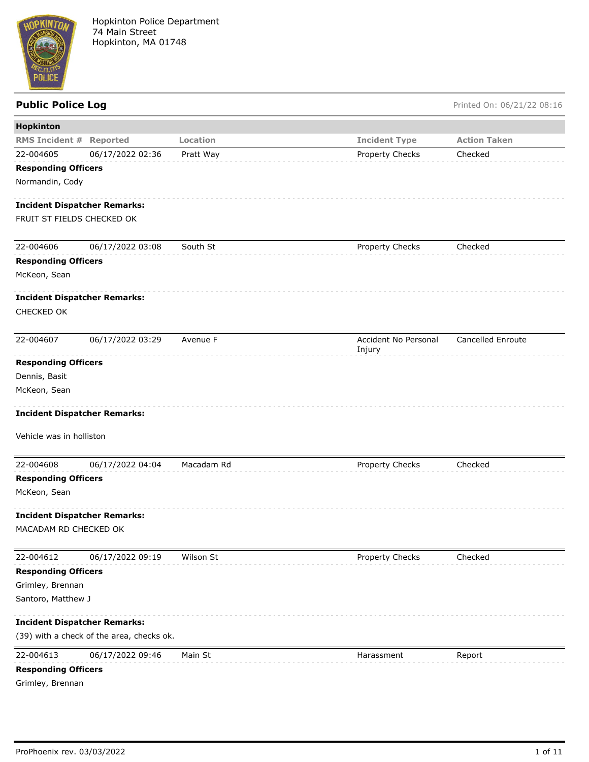

Public Police Log **Public Police Log** Printed On: 06/21/22 08:16

| Hopkinton                           |                                           |            |                                |                          |
|-------------------------------------|-------------------------------------------|------------|--------------------------------|--------------------------|
| <b>RMS Incident #</b>               | Reported                                  | Location   | <b>Incident Type</b>           | <b>Action Taken</b>      |
| 22-004605                           | 06/17/2022 02:36                          | Pratt Way  | Property Checks                | Checked                  |
| <b>Responding Officers</b>          |                                           |            |                                |                          |
| Normandin, Cody                     |                                           |            |                                |                          |
| <b>Incident Dispatcher Remarks:</b> |                                           |            |                                |                          |
| FRUIT ST FIELDS CHECKED OK          |                                           |            |                                |                          |
| 22-004606                           | 06/17/2022 03:08                          | South St   | Property Checks                | Checked                  |
| <b>Responding Officers</b>          |                                           |            |                                |                          |
| McKeon, Sean                        |                                           |            |                                |                          |
| <b>Incident Dispatcher Remarks:</b> |                                           |            |                                |                          |
| CHECKED OK                          |                                           |            |                                |                          |
| 22-004607                           | 06/17/2022 03:29                          | Avenue F   | Accident No Personal<br>Injury | <b>Cancelled Enroute</b> |
| <b>Responding Officers</b>          |                                           |            |                                |                          |
| Dennis, Basit                       |                                           |            |                                |                          |
| McKeon, Sean                        |                                           |            |                                |                          |
| <b>Incident Dispatcher Remarks:</b> |                                           |            |                                |                          |
| Vehicle was in holliston            |                                           |            |                                |                          |
| 22-004608                           | 06/17/2022 04:04                          | Macadam Rd | Property Checks                | Checked                  |
| <b>Responding Officers</b>          |                                           |            |                                |                          |
| McKeon, Sean                        |                                           |            |                                |                          |
| <b>Incident Dispatcher Remarks:</b> |                                           |            |                                |                          |
| MACADAM RD CHECKED OK               |                                           |            |                                |                          |
| 22-004612                           | 06/17/2022 09:19                          | Wilson St  | Property Checks                | Checked                  |
| <b>Responding Officers</b>          |                                           |            |                                |                          |
| Grimley, Brennan                    |                                           |            |                                |                          |
| Santoro, Matthew J                  |                                           |            |                                |                          |
| <b>Incident Dispatcher Remarks:</b> |                                           |            |                                |                          |
|                                     | (39) with a check of the area, checks ok. |            |                                |                          |
| 22-004613                           | 06/17/2022 09:46                          | Main St    | Harassment                     | Report                   |
| <b>Responding Officers</b>          |                                           |            |                                |                          |
| Grimley, Brennan                    |                                           |            |                                |                          |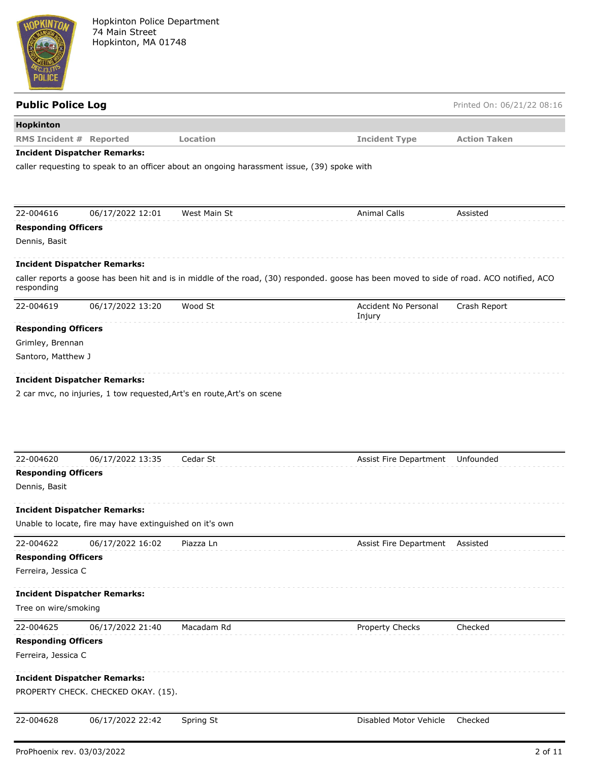

| <b>Hopkinton</b><br><b>RMS Incident # Reported</b><br><b>Location</b><br><b>Incident Type</b><br><b>Action Taken</b><br><b>Incident Dispatcher Remarks:</b><br>caller requesting to speak to an officer about an ongoing harassment issue, (39) spoke with<br>22-004616<br>06/17/2022 12:01<br>West Main St<br><b>Animal Calls</b><br>Assisted<br><b>Responding Officers</b><br>Dennis, Basit<br><b>Incident Dispatcher Remarks:</b><br>caller reports a goose has been hit and is in middle of the road, (30) responded. goose has been moved to side of road. ACO notified, ACO<br>responding<br>Wood St<br>Accident No Personal<br>22-004619<br>06/17/2022 13:20<br>Crash Report<br>Injury<br><b>Responding Officers</b><br>Grimley, Brennan<br>Santoro, Matthew J<br><b>Incident Dispatcher Remarks:</b><br>2 car mvc, no injuries, 1 tow requested, Art's en route, Art's on scene<br>Cedar St<br>06/17/2022 13:35<br>Assist Fire Department<br>Unfounded<br><b>Responding Officers</b><br>Unable to locate, fire may have extinguished on it's own<br>06/17/2022 16:02<br>Piazza Ln<br>Assist Fire Department<br>Assisted<br><b>Responding Officers</b><br>Ferreira, Jessica C<br>22-004625<br>Macadam Rd<br>Checked<br>06/17/2022 21:40<br>Property Checks<br><b>Responding Officers</b><br>Ferreira, Jessica C | <b>Public Police Log</b> |  | Printed On: 06/21/22 08:16 |
|------------------------------------------------------------------------------------------------------------------------------------------------------------------------------------------------------------------------------------------------------------------------------------------------------------------------------------------------------------------------------------------------------------------------------------------------------------------------------------------------------------------------------------------------------------------------------------------------------------------------------------------------------------------------------------------------------------------------------------------------------------------------------------------------------------------------------------------------------------------------------------------------------------------------------------------------------------------------------------------------------------------------------------------------------------------------------------------------------------------------------------------------------------------------------------------------------------------------------------------------------------------------------------------------------------------------|--------------------------|--|----------------------------|
|                                                                                                                                                                                                                                                                                                                                                                                                                                                                                                                                                                                                                                                                                                                                                                                                                                                                                                                                                                                                                                                                                                                                                                                                                                                                                                                        |                          |  |                            |
|                                                                                                                                                                                                                                                                                                                                                                                                                                                                                                                                                                                                                                                                                                                                                                                                                                                                                                                                                                                                                                                                                                                                                                                                                                                                                                                        |                          |  |                            |
|                                                                                                                                                                                                                                                                                                                                                                                                                                                                                                                                                                                                                                                                                                                                                                                                                                                                                                                                                                                                                                                                                                                                                                                                                                                                                                                        |                          |  |                            |
|                                                                                                                                                                                                                                                                                                                                                                                                                                                                                                                                                                                                                                                                                                                                                                                                                                                                                                                                                                                                                                                                                                                                                                                                                                                                                                                        |                          |  |                            |
|                                                                                                                                                                                                                                                                                                                                                                                                                                                                                                                                                                                                                                                                                                                                                                                                                                                                                                                                                                                                                                                                                                                                                                                                                                                                                                                        |                          |  |                            |
|                                                                                                                                                                                                                                                                                                                                                                                                                                                                                                                                                                                                                                                                                                                                                                                                                                                                                                                                                                                                                                                                                                                                                                                                                                                                                                                        |                          |  |                            |
|                                                                                                                                                                                                                                                                                                                                                                                                                                                                                                                                                                                                                                                                                                                                                                                                                                                                                                                                                                                                                                                                                                                                                                                                                                                                                                                        |                          |  |                            |
|                                                                                                                                                                                                                                                                                                                                                                                                                                                                                                                                                                                                                                                                                                                                                                                                                                                                                                                                                                                                                                                                                                                                                                                                                                                                                                                        |                          |  |                            |
|                                                                                                                                                                                                                                                                                                                                                                                                                                                                                                                                                                                                                                                                                                                                                                                                                                                                                                                                                                                                                                                                                                                                                                                                                                                                                                                        |                          |  |                            |
|                                                                                                                                                                                                                                                                                                                                                                                                                                                                                                                                                                                                                                                                                                                                                                                                                                                                                                                                                                                                                                                                                                                                                                                                                                                                                                                        |                          |  |                            |
|                                                                                                                                                                                                                                                                                                                                                                                                                                                                                                                                                                                                                                                                                                                                                                                                                                                                                                                                                                                                                                                                                                                                                                                                                                                                                                                        |                          |  |                            |
|                                                                                                                                                                                                                                                                                                                                                                                                                                                                                                                                                                                                                                                                                                                                                                                                                                                                                                                                                                                                                                                                                                                                                                                                                                                                                                                        |                          |  |                            |
|                                                                                                                                                                                                                                                                                                                                                                                                                                                                                                                                                                                                                                                                                                                                                                                                                                                                                                                                                                                                                                                                                                                                                                                                                                                                                                                        |                          |  |                            |
| 22-004620<br>Dennis, Basit<br><b>Incident Dispatcher Remarks:</b><br>22-004622<br><b>Incident Dispatcher Remarks:</b><br>Tree on wire/smoking                                                                                                                                                                                                                                                                                                                                                                                                                                                                                                                                                                                                                                                                                                                                                                                                                                                                                                                                                                                                                                                                                                                                                                          |                          |  |                            |
|                                                                                                                                                                                                                                                                                                                                                                                                                                                                                                                                                                                                                                                                                                                                                                                                                                                                                                                                                                                                                                                                                                                                                                                                                                                                                                                        |                          |  |                            |
|                                                                                                                                                                                                                                                                                                                                                                                                                                                                                                                                                                                                                                                                                                                                                                                                                                                                                                                                                                                                                                                                                                                                                                                                                                                                                                                        |                          |  |                            |
|                                                                                                                                                                                                                                                                                                                                                                                                                                                                                                                                                                                                                                                                                                                                                                                                                                                                                                                                                                                                                                                                                                                                                                                                                                                                                                                        |                          |  |                            |
|                                                                                                                                                                                                                                                                                                                                                                                                                                                                                                                                                                                                                                                                                                                                                                                                                                                                                                                                                                                                                                                                                                                                                                                                                                                                                                                        |                          |  |                            |
|                                                                                                                                                                                                                                                                                                                                                                                                                                                                                                                                                                                                                                                                                                                                                                                                                                                                                                                                                                                                                                                                                                                                                                                                                                                                                                                        |                          |  |                            |
|                                                                                                                                                                                                                                                                                                                                                                                                                                                                                                                                                                                                                                                                                                                                                                                                                                                                                                                                                                                                                                                                                                                                                                                                                                                                                                                        |                          |  |                            |
|                                                                                                                                                                                                                                                                                                                                                                                                                                                                                                                                                                                                                                                                                                                                                                                                                                                                                                                                                                                                                                                                                                                                                                                                                                                                                                                        |                          |  |                            |
|                                                                                                                                                                                                                                                                                                                                                                                                                                                                                                                                                                                                                                                                                                                                                                                                                                                                                                                                                                                                                                                                                                                                                                                                                                                                                                                        |                          |  |                            |
|                                                                                                                                                                                                                                                                                                                                                                                                                                                                                                                                                                                                                                                                                                                                                                                                                                                                                                                                                                                                                                                                                                                                                                                                                                                                                                                        |                          |  |                            |
|                                                                                                                                                                                                                                                                                                                                                                                                                                                                                                                                                                                                                                                                                                                                                                                                                                                                                                                                                                                                                                                                                                                                                                                                                                                                                                                        |                          |  |                            |
|                                                                                                                                                                                                                                                                                                                                                                                                                                                                                                                                                                                                                                                                                                                                                                                                                                                                                                                                                                                                                                                                                                                                                                                                                                                                                                                        |                          |  |                            |
|                                                                                                                                                                                                                                                                                                                                                                                                                                                                                                                                                                                                                                                                                                                                                                                                                                                                                                                                                                                                                                                                                                                                                                                                                                                                                                                        |                          |  |                            |
|                                                                                                                                                                                                                                                                                                                                                                                                                                                                                                                                                                                                                                                                                                                                                                                                                                                                                                                                                                                                                                                                                                                                                                                                                                                                                                                        |                          |  |                            |
|                                                                                                                                                                                                                                                                                                                                                                                                                                                                                                                                                                                                                                                                                                                                                                                                                                                                                                                                                                                                                                                                                                                                                                                                                                                                                                                        |                          |  |                            |
|                                                                                                                                                                                                                                                                                                                                                                                                                                                                                                                                                                                                                                                                                                                                                                                                                                                                                                                                                                                                                                                                                                                                                                                                                                                                                                                        |                          |  |                            |
| <b>Incident Dispatcher Remarks:</b>                                                                                                                                                                                                                                                                                                                                                                                                                                                                                                                                                                                                                                                                                                                                                                                                                                                                                                                                                                                                                                                                                                                                                                                                                                                                                    |                          |  |                            |
| PROPERTY CHECK. CHECKED OKAY. (15).                                                                                                                                                                                                                                                                                                                                                                                                                                                                                                                                                                                                                                                                                                                                                                                                                                                                                                                                                                                                                                                                                                                                                                                                                                                                                    |                          |  |                            |
| 22-004628<br>06/17/2022 22:42<br>Disabled Motor Vehicle<br>Checked<br>Spring St                                                                                                                                                                                                                                                                                                                                                                                                                                                                                                                                                                                                                                                                                                                                                                                                                                                                                                                                                                                                                                                                                                                                                                                                                                        |                          |  |                            |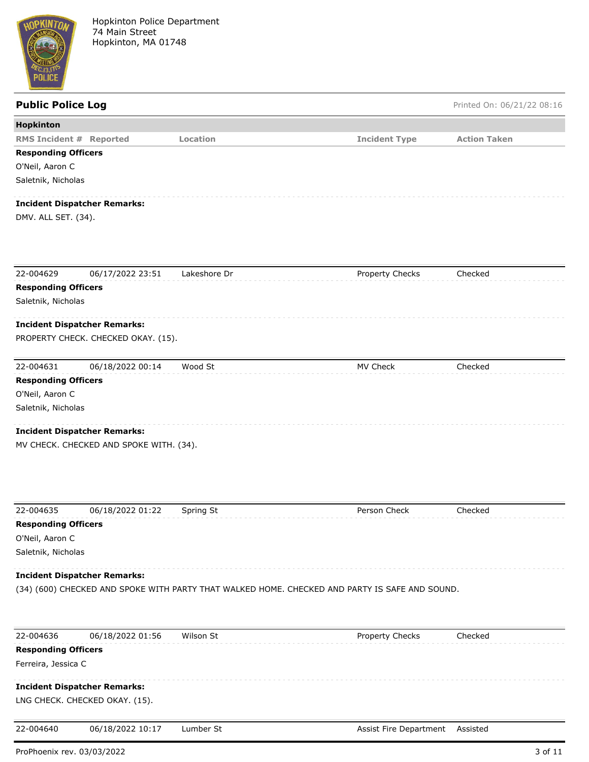

| <b>Public Police Log</b>       |                                         |              |                                                                                                | Printed On: 06/21/22 08:16 |
|--------------------------------|-----------------------------------------|--------------|------------------------------------------------------------------------------------------------|----------------------------|
| Hopkinton                      |                                         |              |                                                                                                |                            |
| <b>RMS Incident # Reported</b> |                                         | Location     | <b>Incident Type</b>                                                                           | <b>Action Taken</b>        |
| <b>Responding Officers</b>     |                                         |              |                                                                                                |                            |
| O'Neil, Aaron C                |                                         |              |                                                                                                |                            |
| Saletnik, Nicholas             |                                         |              |                                                                                                |                            |
|                                | <b>Incident Dispatcher Remarks:</b>     |              |                                                                                                |                            |
| DMV. ALL SET. (34).            |                                         |              |                                                                                                |                            |
| 22-004629                      | 06/17/2022 23:51                        | Lakeshore Dr | Property Checks                                                                                | Checked                    |
| <b>Responding Officers</b>     |                                         |              |                                                                                                |                            |
| Saletnik, Nicholas             |                                         |              |                                                                                                |                            |
|                                | <b>Incident Dispatcher Remarks:</b>     |              |                                                                                                |                            |
|                                | PROPERTY CHECK. CHECKED OKAY. (15).     |              |                                                                                                |                            |
| 22-004631                      | 06/18/2022 00:14                        | Wood St      | MV Check                                                                                       | Checked                    |
| <b>Responding Officers</b>     |                                         |              |                                                                                                |                            |
| O'Neil, Aaron C                |                                         |              |                                                                                                |                            |
| Saletnik, Nicholas             |                                         |              |                                                                                                |                            |
|                                | <b>Incident Dispatcher Remarks:</b>     |              |                                                                                                |                            |
|                                | MV CHECK. CHECKED AND SPOKE WITH. (34). |              |                                                                                                |                            |
| 22-004635                      | 06/18/2022 01:22                        | Spring St    | Person Check                                                                                   | Checked                    |
| <b>Responding Officers</b>     |                                         |              |                                                                                                |                            |
| O'Neil, Aaron C                |                                         |              |                                                                                                |                            |
| Saletnik, Nicholas             |                                         |              |                                                                                                |                            |
|                                | <b>Incident Dispatcher Remarks:</b>     |              |                                                                                                |                            |
|                                |                                         |              | (34) (600) CHECKED AND SPOKE WITH PARTY THAT WALKED HOME. CHECKED AND PARTY IS SAFE AND SOUND. |                            |
| 22-004636                      | 06/18/2022 01:56                        | Wilson St    | Property Checks                                                                                | Checked                    |
| <b>Responding Officers</b>     |                                         |              |                                                                                                |                            |
| Ferreira, Jessica C            |                                         |              |                                                                                                |                            |
|                                | <b>Incident Dispatcher Remarks:</b>     |              |                                                                                                |                            |

#### LNG CHECK. CHECKED OKAY. (15).

22-004640 06/18/2022 10:17 Lumber St Assist Fire Department Assisted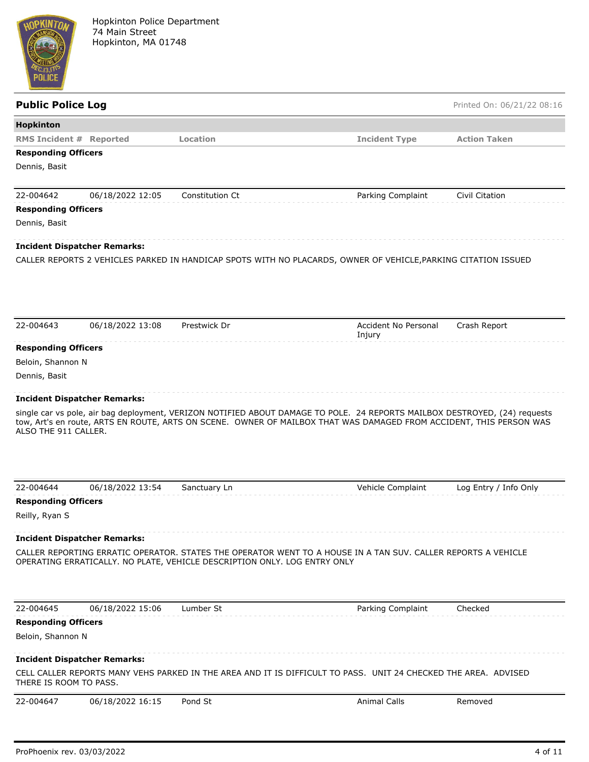

### **Public Police Log** Printed On: 06/21/22 08:16

| <b>RMS Incident # Reported</b>                                |                  | Location                                                                                                                                                                                   | <b>Incident Type</b> | <b>Action Taken</b>   |
|---------------------------------------------------------------|------------------|--------------------------------------------------------------------------------------------------------------------------------------------------------------------------------------------|----------------------|-----------------------|
| <b>Responding Officers</b>                                    |                  |                                                                                                                                                                                            |                      |                       |
| Dennis, Basit                                                 |                  |                                                                                                                                                                                            |                      |                       |
|                                                               |                  |                                                                                                                                                                                            |                      |                       |
| 22-004642                                                     | 06/18/2022 12:05 | Constitution Ct                                                                                                                                                                            | Parking Complaint    | Civil Citation        |
| <b>Responding Officers</b>                                    |                  |                                                                                                                                                                                            |                      |                       |
| Dennis, Basit                                                 |                  |                                                                                                                                                                                            |                      |                       |
| <b>Incident Dispatcher Remarks:</b>                           |                  |                                                                                                                                                                                            |                      |                       |
|                                                               |                  | CALLER REPORTS 2 VEHICLES PARKED IN HANDICAP SPOTS WITH NO PLACARDS, OWNER OF VEHICLE, PARKING CITATION ISSUED                                                                             |                      |                       |
|                                                               |                  |                                                                                                                                                                                            |                      |                       |
|                                                               |                  |                                                                                                                                                                                            |                      |                       |
| 22-004643                                                     | 06/18/2022 13:08 | Prestwick Dr                                                                                                                                                                               | Accident No Personal | Crash Report          |
|                                                               |                  |                                                                                                                                                                                            | Injury               |                       |
| <b>Responding Officers</b>                                    |                  |                                                                                                                                                                                            |                      |                       |
| Beloin, Shannon N                                             |                  |                                                                                                                                                                                            |                      |                       |
| Dennis, Basit                                                 |                  |                                                                                                                                                                                            |                      |                       |
| <b>Incident Dispatcher Remarks:</b>                           |                  |                                                                                                                                                                                            |                      |                       |
|                                                               |                  | single car vs pole, air bag deployment, VERIZON NOTIFIED ABOUT DAMAGE TO POLE. 24 REPORTS MAILBOX DESTROYED, (24) requests                                                                 |                      |                       |
| ALSO THE 911 CALLER.                                          |                  | tow, Art's en route, ARTS EN ROUTE, ARTS ON SCENE. OWNER OF MAILBOX THAT WAS DAMAGED FROM ACCIDENT, THIS PERSON WAS                                                                        |                      |                       |
|                                                               |                  |                                                                                                                                                                                            |                      |                       |
| 22-004644                                                     | 06/18/2022 13:54 | Sanctuary Ln                                                                                                                                                                               | Vehicle Complaint    | Log Entry / Info Only |
| <b>Responding Officers</b>                                    |                  |                                                                                                                                                                                            |                      |                       |
| Reilly, Ryan S                                                |                  |                                                                                                                                                                                            |                      |                       |
|                                                               |                  |                                                                                                                                                                                            |                      |                       |
| <b>Incident Dispatcher Remarks:</b>                           |                  |                                                                                                                                                                                            |                      |                       |
|                                                               |                  | CALLER REPORTING ERRATIC OPERATOR. STATES THE OPERATOR WENT TO A HOUSE IN A TAN SUV. CALLER REPORTS A VEHICLE<br>OPERATING ERRATICALLY. NO PLATE, VEHICLE DESCRIPTION ONLY. LOG ENTRY ONLY |                      |                       |
| 22-004645                                                     | 06/18/2022 15:06 | Lumber St                                                                                                                                                                                  | Parking Complaint    | Checked               |
| <b>Responding Officers</b>                                    |                  |                                                                                                                                                                                            |                      |                       |
| Beloin, Shannon N                                             |                  |                                                                                                                                                                                            |                      |                       |
|                                                               |                  |                                                                                                                                                                                            |                      |                       |
| <b>Incident Dispatcher Remarks:</b><br>THERE IS ROOM TO PASS. |                  | CELL CALLER REPORTS MANY VEHS PARKED IN THE AREA AND IT IS DIFFICULT TO PASS. UNIT 24 CHECKED THE AREA. ADVISED                                                                            |                      |                       |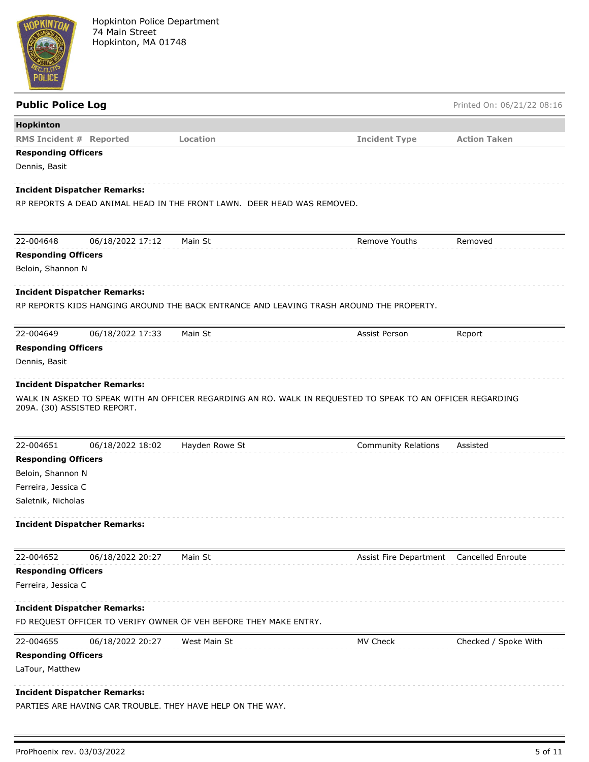

| <b>Public Police Log</b>                                                                |                |                                                                                                            | Printed On: 06/21/22 08:16 |
|-----------------------------------------------------------------------------------------|----------------|------------------------------------------------------------------------------------------------------------|----------------------------|
| Hopkinton                                                                               |                |                                                                                                            |                            |
| <b>RMS Incident # Reported</b>                                                          | Location       | <b>Incident Type</b>                                                                                       | <b>Action Taken</b>        |
| <b>Responding Officers</b>                                                              |                |                                                                                                            |                            |
| Dennis, Basit                                                                           |                |                                                                                                            |                            |
| <b>Incident Dispatcher Remarks:</b>                                                     |                |                                                                                                            |                            |
| RP REPORTS A DEAD ANIMAL HEAD IN THE FRONT LAWN. DEER HEAD WAS REMOVED.                 |                |                                                                                                            |                            |
|                                                                                         |                |                                                                                                            |                            |
| 22-004648<br>06/18/2022 17:12                                                           | Main St        | Remove Youths                                                                                              | Removed                    |
| <b>Responding Officers</b>                                                              |                |                                                                                                            |                            |
| Beloin, Shannon N                                                                       |                |                                                                                                            |                            |
| <b>Incident Dispatcher Remarks:</b>                                                     |                |                                                                                                            |                            |
| RP REPORTS KIDS HANGING AROUND THE BACK ENTRANCE AND LEAVING TRASH AROUND THE PROPERTY. |                |                                                                                                            |                            |
|                                                                                         |                |                                                                                                            |                            |
| 22-004649<br>06/18/2022 17:33                                                           | Main St        | Assist Person                                                                                              | Report                     |
| <b>Responding Officers</b>                                                              |                |                                                                                                            |                            |
| Dennis, Basit                                                                           |                |                                                                                                            |                            |
| <b>Incident Dispatcher Remarks:</b>                                                     |                |                                                                                                            |                            |
|                                                                                         |                | WALK IN ASKED TO SPEAK WITH AN OFFICER REGARDING AN RO. WALK IN REQUESTED TO SPEAK TO AN OFFICER REGARDING |                            |
| 209A. (30) ASSISTED REPORT.                                                             |                |                                                                                                            |                            |
|                                                                                         |                |                                                                                                            |                            |
| 22-004651<br>06/18/2022 18:02                                                           | Hayden Rowe St | <b>Community Relations</b>                                                                                 | Assisted                   |
| <b>Responding Officers</b>                                                              |                |                                                                                                            |                            |
| Beloin, Shannon N                                                                       |                |                                                                                                            |                            |
| Ferreira, Jessica C                                                                     |                |                                                                                                            |                            |
| Saletnik, Nicholas                                                                      |                |                                                                                                            |                            |
| <b>Incident Dispatcher Remarks:</b>                                                     |                |                                                                                                            |                            |
|                                                                                         |                |                                                                                                            |                            |
| 22-004652<br>06/18/2022 20:27                                                           | Main St        | Assist Fire Department                                                                                     | Cancelled Enroute          |
| <b>Responding Officers</b>                                                              |                |                                                                                                            |                            |
| Ferreira, Jessica C                                                                     |                |                                                                                                            |                            |
| <b>Incident Dispatcher Remarks:</b>                                                     |                |                                                                                                            |                            |
| FD REQUEST OFFICER TO VERIFY OWNER OF VEH BEFORE THEY MAKE ENTRY.                       |                |                                                                                                            |                            |
| 22-004655<br>06/18/2022 20:27                                                           | West Main St   | MV Check                                                                                                   | Checked / Spoke With       |
| <b>Responding Officers</b>                                                              |                |                                                                                                            |                            |
| LaTour, Matthew                                                                         |                |                                                                                                            |                            |
|                                                                                         |                |                                                                                                            |                            |
| <b>Incident Dispatcher Remarks:</b>                                                     |                |                                                                                                            |                            |
| PARTIES ARE HAVING CAR TROUBLE. THEY HAVE HELP ON THE WAY.                              |                |                                                                                                            |                            |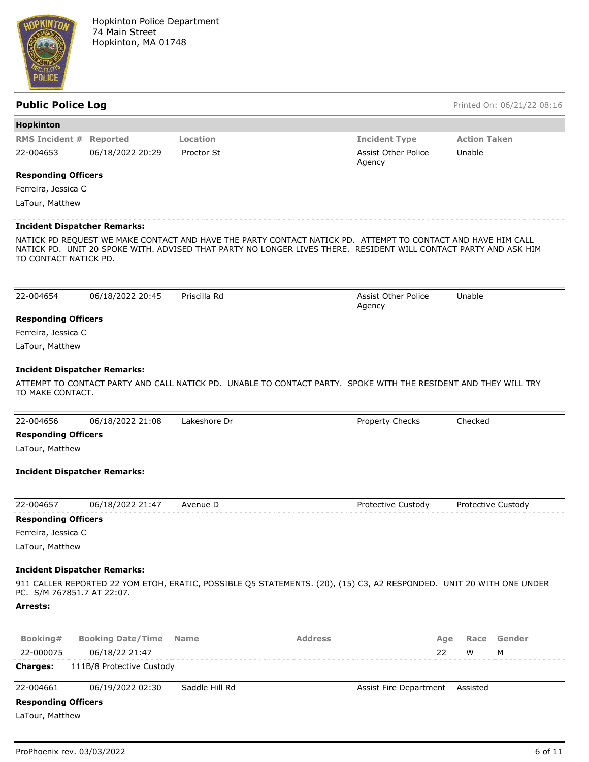

#### Public Police Log **Public Police Log** Printed On: 06/21/22 08:16

| Hopkinton                           |                           |                |                                                                                                                                                                                                                                  |                             |
|-------------------------------------|---------------------------|----------------|----------------------------------------------------------------------------------------------------------------------------------------------------------------------------------------------------------------------------------|-----------------------------|
| <b>RMS Incident #</b>               | <b>Reported</b>           | Location       | <b>Incident Type</b>                                                                                                                                                                                                             | <b>Action Taken</b>         |
| 22-004653                           | 06/18/2022 20:29          | Proctor St     | Assist Other Police<br>Agency                                                                                                                                                                                                    | Unable                      |
| <b>Responding Officers</b>          |                           |                |                                                                                                                                                                                                                                  |                             |
| Ferreira, Jessica C                 |                           |                |                                                                                                                                                                                                                                  |                             |
| LaTour, Matthew                     |                           |                |                                                                                                                                                                                                                                  |                             |
| <b>Incident Dispatcher Remarks:</b> |                           |                |                                                                                                                                                                                                                                  |                             |
| TO CONTACT NATICK PD.               |                           |                | NATICK PD REQUEST WE MAKE CONTACT AND HAVE THE PARTY CONTACT NATICK PD. ATTEMPT TO CONTACT AND HAVE HIM CALL<br>NATICK PD. UNIT 20 SPOKE WITH. ADVISED THAT PARTY NO LONGER LIVES THERE. RESIDENT WILL CONTACT PARTY AND ASK HIM |                             |
| 22-004654                           | 06/18/2022 20:45          | Priscilla Rd   | Assist Other Police<br>Agency                                                                                                                                                                                                    | Unable                      |
| <b>Responding Officers</b>          |                           |                |                                                                                                                                                                                                                                  |                             |
| Ferreira, Jessica C                 |                           |                |                                                                                                                                                                                                                                  |                             |
| LaTour, Matthew                     |                           |                |                                                                                                                                                                                                                                  |                             |
| <b>Incident Dispatcher Remarks:</b> |                           |                |                                                                                                                                                                                                                                  |                             |
| TO MAKE CONTACT.                    |                           |                | ATTEMPT TO CONTACT PARTY AND CALL NATICK PD.  UNABLE TO CONTACT PARTY.  SPOKE WITH THE RESIDENT AND THEY WILL TRY                                                                                                                |                             |
| 22-004656                           | 06/18/2022 21:08          | Lakeshore Dr   | <b>Property Checks</b>                                                                                                                                                                                                           | Checked                     |
| <b>Responding Officers</b>          |                           |                |                                                                                                                                                                                                                                  |                             |
| LaTour, Matthew                     |                           |                |                                                                                                                                                                                                                                  |                             |
| <b>Incident Dispatcher Remarks:</b> |                           |                |                                                                                                                                                                                                                                  |                             |
| 22-004657                           | 06/18/2022 21:47          | Avenue D       | Protective Custody                                                                                                                                                                                                               | Protective Custody          |
| <b>Responding Officers</b>          |                           |                |                                                                                                                                                                                                                                  |                             |
| Ferreira, Jessica C                 |                           |                |                                                                                                                                                                                                                                  |                             |
| LaTour, Matthew                     |                           |                |                                                                                                                                                                                                                                  |                             |
| <b>Incident Dispatcher Remarks:</b> |                           |                |                                                                                                                                                                                                                                  |                             |
| PC. S/M 767851.7 AT 22:07.          |                           |                | 911 CALLER REPORTED 22 YOM ETOH, ERATIC, POSSIBLE Q5 STATEMENTS. (20), (15) C3, A2 RESPONDED. UNIT 20 WITH ONE UNDER                                                                                                             |                             |
| Arrests:                            |                           |                |                                                                                                                                                                                                                                  |                             |
| Booking#                            | <b>Booking Date/Time</b>  | <b>Name</b>    | <b>Address</b>                                                                                                                                                                                                                   | Gender                      |
| 22-000075                           | 06/18/22 21:47            |                |                                                                                                                                                                                                                                  | Age<br>Race<br>22<br>W<br>M |
| <b>Charges:</b>                     | 111B/8 Protective Custody |                |                                                                                                                                                                                                                                  |                             |
| 22-004661                           | 06/19/2022 02:30          | Saddle Hill Rd | Assist Fire Department                                                                                                                                                                                                           | Assisted                    |

#### **Responding Officers**

LaTour, Matthew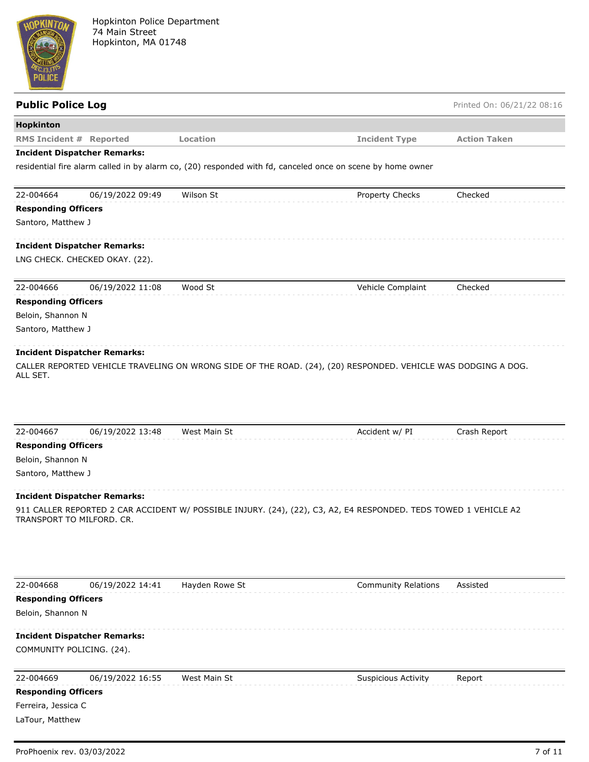

| <b>Public Police Log</b>                        |                                     |                |                                                                                                                  | Printed On: 06/21/22 08:16 |
|-------------------------------------------------|-------------------------------------|----------------|------------------------------------------------------------------------------------------------------------------|----------------------------|
| Hopkinton                                       |                                     |                |                                                                                                                  |                            |
| <b>RMS Incident # Reported</b>                  |                                     | Location       | <b>Incident Type</b>                                                                                             | <b>Action Taken</b>        |
|                                                 | <b>Incident Dispatcher Remarks:</b> |                |                                                                                                                  |                            |
|                                                 |                                     |                | residential fire alarm called in by alarm co, (20) responded with fd, canceled once on scene by home owner       |                            |
| 22-004664                                       | 06/19/2022 09:49                    | Wilson St      | Property Checks                                                                                                  | Checked                    |
| <b>Responding Officers</b>                      |                                     |                |                                                                                                                  |                            |
| Santoro, Matthew J                              |                                     |                |                                                                                                                  |                            |
|                                                 | <b>Incident Dispatcher Remarks:</b> |                |                                                                                                                  |                            |
|                                                 | LNG CHECK. CHECKED OKAY. (22).      |                |                                                                                                                  |                            |
| 22-004666                                       | 06/19/2022 11:08                    | Wood St        | Vehicle Complaint                                                                                                | Checked                    |
| <b>Responding Officers</b>                      |                                     |                |                                                                                                                  |                            |
| Beloin, Shannon N                               |                                     |                |                                                                                                                  |                            |
| Santoro, Matthew J                              |                                     |                |                                                                                                                  |                            |
|                                                 | <b>Incident Dispatcher Remarks:</b> |                |                                                                                                                  |                            |
|                                                 |                                     |                | CALLER REPORTED VEHICLE TRAVELING ON WRONG SIDE OF THE ROAD. (24), (20) RESPONDED. VEHICLE WAS DODGING A DOG.    |                            |
| ALL SET.                                        |                                     |                |                                                                                                                  |                            |
|                                                 |                                     |                |                                                                                                                  |                            |
|                                                 |                                     |                |                                                                                                                  |                            |
|                                                 |                                     |                |                                                                                                                  |                            |
| 22-004667                                       | 06/19/2022 13:48                    | West Main St   | Accident w/ PI                                                                                                   | Crash Report               |
| <b>Responding Officers</b><br>Beloin, Shannon N |                                     |                |                                                                                                                  |                            |
| Santoro, Matthew J                              |                                     |                |                                                                                                                  |                            |
|                                                 |                                     |                |                                                                                                                  |                            |
|                                                 | <b>Incident Dispatcher Remarks:</b> |                |                                                                                                                  |                            |
|                                                 | TRANSPORT TO MILFORD, CR.           |                | 911 CALLER REPORTED 2 CAR ACCIDENT W/ POSSIBLE INJURY. (24), (22), C3, A2, E4 RESPONDED. TEDS TOWED 1 VEHICLE A2 |                            |
|                                                 |                                     |                |                                                                                                                  |                            |
|                                                 |                                     |                |                                                                                                                  |                            |
|                                                 |                                     |                |                                                                                                                  |                            |
|                                                 |                                     |                |                                                                                                                  |                            |
| 22-004668                                       | 06/19/2022 14:41                    | Hayden Rowe St | <b>Community Relations</b>                                                                                       | Assisted                   |
| <b>Responding Officers</b>                      |                                     |                |                                                                                                                  |                            |
| Beloin, Shannon N                               |                                     |                |                                                                                                                  |                            |
|                                                 | <b>Incident Dispatcher Remarks:</b> |                |                                                                                                                  |                            |
|                                                 | COMMUNITY POLICING. (24).           |                |                                                                                                                  |                            |
| 22-004669                                       | 06/19/2022 16:55                    | West Main St   | <b>Suspicious Activity</b>                                                                                       | Report                     |
| <b>Responding Officers</b>                      |                                     |                |                                                                                                                  |                            |
| Ferreira, Jessica C                             |                                     |                |                                                                                                                  |                            |
| LaTour, Matthew                                 |                                     |                |                                                                                                                  |                            |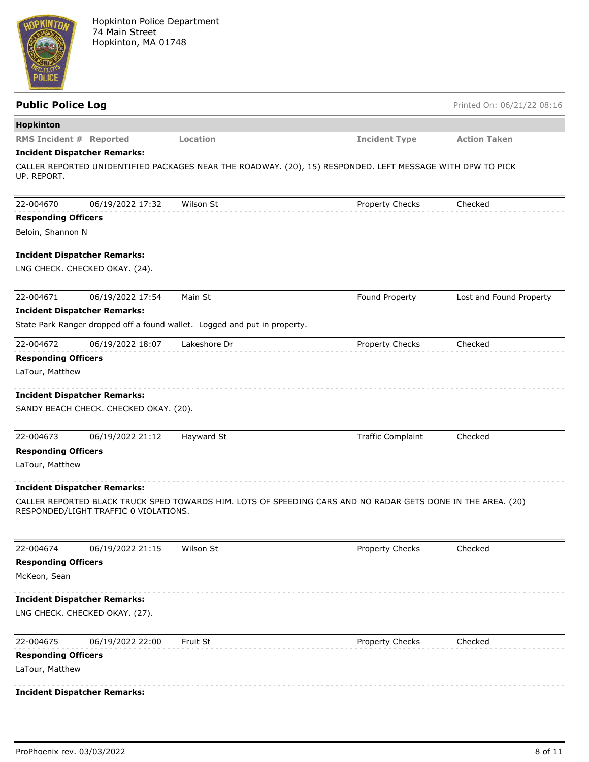

| <b>Public Police Log</b>       |                                        |                                                                           |                                                                                                              | Printed On: 06/21/22 08:16 |
|--------------------------------|----------------------------------------|---------------------------------------------------------------------------|--------------------------------------------------------------------------------------------------------------|----------------------------|
| Hopkinton                      |                                        |                                                                           |                                                                                                              |                            |
| <b>RMS Incident # Reported</b> |                                        | Location                                                                  | <b>Incident Type</b>                                                                                         | <b>Action Taken</b>        |
|                                | <b>Incident Dispatcher Remarks:</b>    |                                                                           |                                                                                                              |                            |
| UP. REPORT.                    |                                        |                                                                           | CALLER REPORTED UNIDENTIFIED PACKAGES NEAR THE ROADWAY. (20), 15) RESPONDED. LEFT MESSAGE WITH DPW TO PICK   |                            |
| 22-004670                      | 06/19/2022 17:32                       | Wilson St                                                                 | Property Checks                                                                                              | Checked                    |
| <b>Responding Officers</b>     |                                        |                                                                           |                                                                                                              |                            |
| Beloin, Shannon N              |                                        |                                                                           |                                                                                                              |                            |
|                                | <b>Incident Dispatcher Remarks:</b>    |                                                                           |                                                                                                              |                            |
|                                | LNG CHECK. CHECKED OKAY. (24).         |                                                                           |                                                                                                              |                            |
| 22-004671                      | 06/19/2022 17:54                       | Main St                                                                   | Found Property                                                                                               | Lost and Found Property    |
|                                | <b>Incident Dispatcher Remarks:</b>    |                                                                           |                                                                                                              |                            |
|                                |                                        | State Park Ranger dropped off a found wallet. Logged and put in property. |                                                                                                              |                            |
| 22-004672                      | 06/19/2022 18:07                       | Lakeshore Dr                                                              | Property Checks                                                                                              | Checked                    |
| <b>Responding Officers</b>     |                                        |                                                                           |                                                                                                              |                            |
| LaTour, Matthew                |                                        |                                                                           |                                                                                                              |                            |
|                                |                                        |                                                                           |                                                                                                              |                            |
|                                | <b>Incident Dispatcher Remarks:</b>    |                                                                           |                                                                                                              |                            |
|                                | SANDY BEACH CHECK. CHECKED OKAY. (20). |                                                                           |                                                                                                              |                            |
| 22-004673                      | 06/19/2022 21:12                       | Hayward St                                                                | <b>Traffic Complaint</b>                                                                                     | Checked                    |
| <b>Responding Officers</b>     |                                        |                                                                           |                                                                                                              |                            |
| LaTour, Matthew                |                                        |                                                                           |                                                                                                              |                            |
|                                | <b>Incident Dispatcher Remarks:</b>    |                                                                           |                                                                                                              |                            |
|                                |                                        |                                                                           | CALLER REPORTED BLACK TRUCK SPED TOWARDS HIM. LOTS OF SPEEDING CARS AND NO RADAR GETS DONE IN THE AREA. (20) |                            |
|                                | RESPONDED/LIGHT TRAFFIC 0 VIOLATIONS.  |                                                                           |                                                                                                              |                            |
| 22-004674                      | 06/19/2022 21:15                       | Wilson St                                                                 | Property Checks                                                                                              | Checked                    |
| <b>Responding Officers</b>     |                                        |                                                                           |                                                                                                              |                            |
| McKeon, Sean                   |                                        |                                                                           |                                                                                                              |                            |
|                                | <b>Incident Dispatcher Remarks:</b>    |                                                                           |                                                                                                              |                            |
|                                | LNG CHECK. CHECKED OKAY. (27).         |                                                                           |                                                                                                              |                            |
| 22-004675                      | 06/19/2022 22:00                       | Fruit St                                                                  | <b>Property Checks</b>                                                                                       | Checked                    |
| <b>Responding Officers</b>     |                                        |                                                                           |                                                                                                              |                            |
| LaTour, Matthew                |                                        |                                                                           |                                                                                                              |                            |
|                                | <b>Incident Dispatcher Remarks:</b>    |                                                                           |                                                                                                              |                            |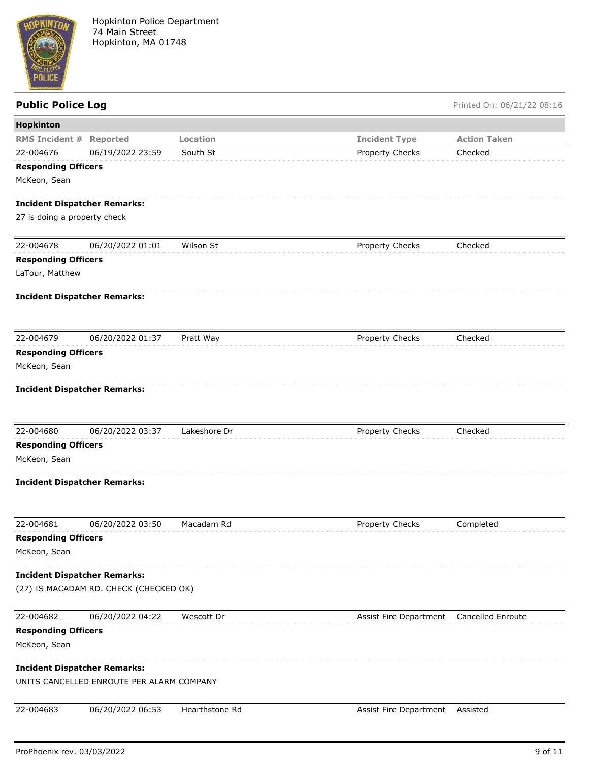

# Public Police Log **Public Police Log** Printed On: 06/21/22 08:16

| Hopkinton                           |                                           |                |                                          |                     |
|-------------------------------------|-------------------------------------------|----------------|------------------------------------------|---------------------|
| <b>RMS Incident #</b>               | Reported                                  | Location       | <b>Incident Type</b>                     | <b>Action Taken</b> |
| 22-004676                           | 06/19/2022 23:59                          | South St       | Property Checks                          | Checked             |
| <b>Responding Officers</b>          |                                           |                |                                          |                     |
| McKeon, Sean                        |                                           |                |                                          |                     |
| <b>Incident Dispatcher Remarks:</b> |                                           |                |                                          |                     |
| 27 is doing a property check        |                                           |                |                                          |                     |
|                                     |                                           |                |                                          |                     |
| 22-004678                           | 06/20/2022 01:01                          | Wilson St      | Property Checks                          | Checked             |
| <b>Responding Officers</b>          |                                           |                |                                          |                     |
| LaTour, Matthew                     |                                           |                |                                          |                     |
| <b>Incident Dispatcher Remarks:</b> |                                           |                |                                          |                     |
|                                     |                                           |                |                                          |                     |
| 22-004679                           | 06/20/2022 01:37                          | Pratt Way      | Property Checks                          | Checked             |
| <b>Responding Officers</b>          |                                           |                |                                          |                     |
| McKeon, Sean                        |                                           |                |                                          |                     |
| <b>Incident Dispatcher Remarks:</b> |                                           |                |                                          |                     |
| 22-004680                           | 06/20/2022 03:37                          | Lakeshore Dr   | Property Checks                          | Checked             |
| <b>Responding Officers</b>          |                                           |                |                                          |                     |
| McKeon, Sean                        |                                           |                |                                          |                     |
| <b>Incident Dispatcher Remarks:</b> |                                           |                |                                          |                     |
| 22-004681                           | 06/20/2022 03:50                          | Macadam Rd     | Property Checks                          | Completed           |
| <b>Responding Officers</b>          |                                           |                |                                          |                     |
| McKeon, Sean                        |                                           |                |                                          |                     |
| <b>Incident Dispatcher Remarks:</b> |                                           |                |                                          |                     |
|                                     | (27) IS MACADAM RD. CHECK (CHECKED OK)    |                |                                          |                     |
| 22-004682                           | 06/20/2022 04:22                          | Wescott Dr     | Assist Fire Department Cancelled Enroute |                     |
| <b>Responding Officers</b>          |                                           |                |                                          |                     |
| McKeon, Sean                        |                                           |                |                                          |                     |
| <b>Incident Dispatcher Remarks:</b> |                                           |                |                                          |                     |
|                                     | UNITS CANCELLED ENROUTE PER ALARM COMPANY |                |                                          |                     |
| 22-004683                           | 06/20/2022 06:53                          | Hearthstone Rd |                                          | Assisted            |
|                                     |                                           |                | Assist Fire Department                   |                     |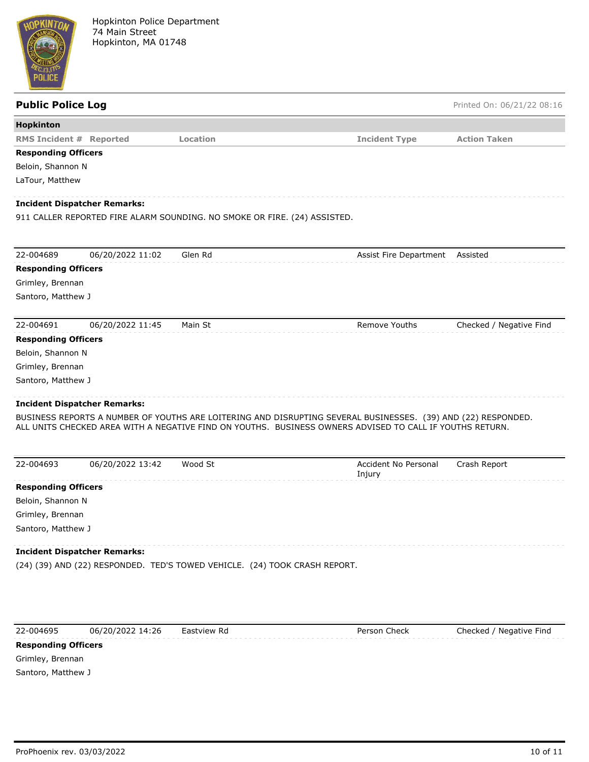

## **Public Police Log** Printed On: 06/21/22 08:16 **Hopkinton RMS Incident # Reported Location Incident Type Action Taken Responding Officers** Beloin, Shannon N LaTour, Matthew **Incident Dispatcher Remarks:** 911 CALLER REPORTED FIRE ALARM SOUNDING. NO SMOKE OR FIRE. (24) ASSISTED. 22-004689 06/20/2022 11:02 Glen Rd Assist Fire Department Assisted **Responding Officers** Grimley, Brennan Santoro, Matthew J 22-004691 06/20/2022 11:45 Main St Remove Youths Checked / Negative Find **Responding Officers** Beloin, Shannon N Grimley, Brennan Santoro, Matthew J **Incident Dispatcher Remarks:** BUSINESS REPORTS A NUMBER OF YOUTHS ARE LOITERING AND DISRUPTING SEVERAL BUSINESSES. (39) AND (22) RESPONDED. ALL UNITS CHECKED AREA WITH A NEGATIVE FIND ON YOUTHS. BUSINESS OWNERS ADVISED TO CALL IF YOUTHS RETURN. 22-004693 06/20/2022 13:42 Wood St Accident No Personal Injury Crash Report **Responding Officers** Beloin, Shannon N Grimley, Brennan Santoro, Matthew J **Incident Dispatcher Remarks:** (24) (39) AND (22) RESPONDED. TED'S TOWED VEHICLE. (24) TOOK CRASH REPORT.



Grimley, Brennan Santoro, Matthew J